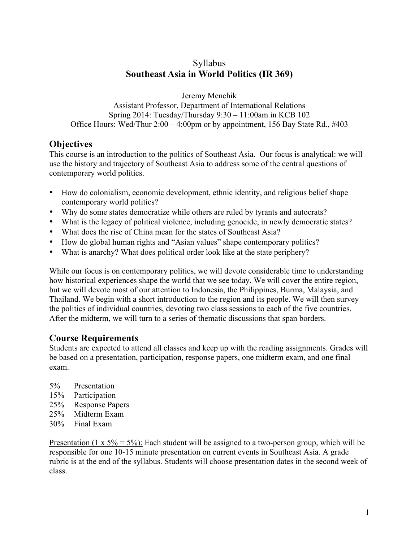# Syllabus **Southeast Asia in World Politics (IR 369)**

Jeremy Menchik

Assistant Professor, Department of International Relations Spring 2014: Tuesday/Thursday 9:30 – 11:00am in KCB 102 Office Hours: Wed/Thur 2:00 – 4:00pm or by appointment, 156 Bay State Rd., #403

# **Objectives**

This course is an introduction to the politics of Southeast Asia. Our focus is analytical: we will use the history and trajectory of Southeast Asia to address some of the central questions of contemporary world politics.

- How do colonialism, economic development, ethnic identity, and religious belief shape contemporary world politics?
- Why do some states democratize while others are ruled by tyrants and autocrats?
- What is the legacy of political violence, including genocide, in newly democratic states?
- What does the rise of China mean for the states of Southeast Asia?
- How do global human rights and "Asian values" shape contemporary politics?
- What is anarchy? What does political order look like at the state periphery?

While our focus is on contemporary politics, we will devote considerable time to understanding how historical experiences shape the world that we see today. We will cover the entire region, but we will devote most of our attention to Indonesia, the Philippines, Burma, Malaysia, and Thailand. We begin with a short introduction to the region and its people. We will then survey the politics of individual countries, devoting two class sessions to each of the five countries. After the midterm, we will turn to a series of thematic discussions that span borders.

# **Course Requirements**

Students are expected to attend all classes and keep up with the reading assignments. Grades will be based on a presentation, participation, response papers, one midterm exam, and one final exam.

- 5% Presentation
- 15% Participation
- 25% Response Papers
- 25% Midterm Exam
- 30% Final Exam

Presentation (1 x  $5\% = 5\%$ ): Each student will be assigned to a two-person group, which will be responsible for one 10-15 minute presentation on current events in Southeast Asia. A grade rubric is at the end of the syllabus. Students will choose presentation dates in the second week of class.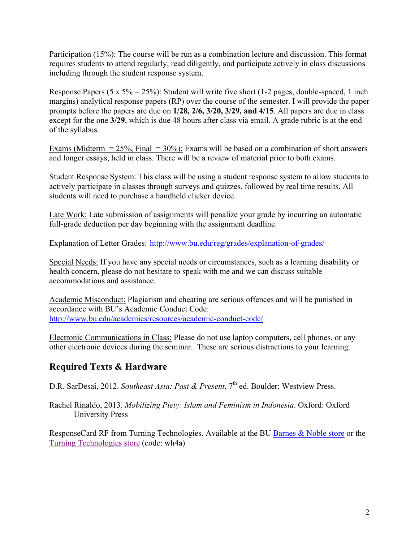Participation (15%): The course will be run as a combination lecture and discussion. This format requires students to attend regularly, read diligently, and participate actively in class discussions including through the student response system.

Response Papers (5 x  $5\% = 25\%$ ): Student will write five short (1-2 pages, double-spaced, 1 inch margins) analytical response papers (RP) over the course of the semester. I will provide the paper prompts before the papers are due on **1/28, 2/6, 3/20, 3/29, and 4/15**. All papers are due in class except for the one **3/29**, which is due 48 hours after class via email. A grade rubric is at the end of the syllabus.

Exams (Midterm  $= 25\%$ , Final  $= 30\%$ ): Exams will be based on a combination of short answers and longer essays, held in class. There will be a review of material prior to both exams.

Student Response System: This class will be using a student response system to allow students to actively participate in classes through surveys and quizzes, followed by real time results. All students will need to purchase a handheld clicker device.

Late Work: Late submission of assignments will penalize your grade by incurring an automatic full-grade deduction per day beginning with the assignment deadline.

Explanation of Letter Grades: http://www.bu.edu/reg/grades/explanation-of-grades/

Special Needs: If you have any special needs or circumstances, such as a learning disability or health concern, please do not hesitate to speak with me and we can discuss suitable accommodations and assistance.

Academic Misconduct: Plagiarism and cheating are serious offences and will be punished in accordance with BU's Academic Conduct Code: http://www.bu.edu/academics/resources/academic-conduct-code/

Electronic Communications in Class: Please do not use laptop computers, cell phones, or any other electronic devices during the seminar. These are serious distractions to your learning.

# **Required Texts & Hardware**

D.R. SarDesai, 2012. *Southeast Asia: Past & Present*, 7<sup>th</sup> ed. Boulder: Westview Press.

Rachel Rinaldo, 2013. *Mobilizing Piety: Islam and Feminism in Indonesia*. Oxford: Oxford University Press

ResponseCard RF from Turning Technologies. Available at the BU Barnes & Noble store or the Turning Technologies store (code: wh4a)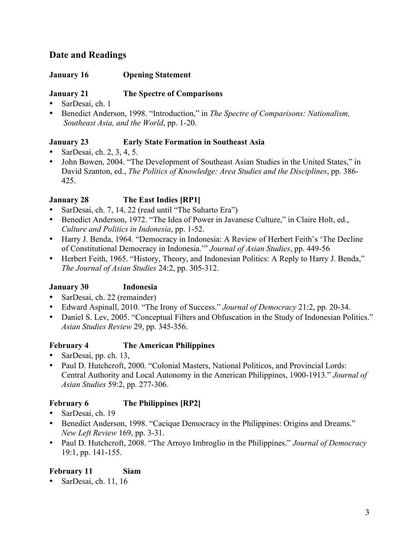# **Date and Readings**

### **January 16 Opening Statement**

# **January 21 The Spectre of Comparisons**

- SarDesai, ch. 1
- Benedict Anderson, 1998. "Introduction," in *The Spectre of Comparisons: Nationalism, Southeast Asia, and the World*, pp. 1-20.

# **January 23 Early State Formation in Southeast Asia**

- SarDesai, ch. 2, 3, 4, 5.
- John Bowen, 2004. "The Development of Southeast Asian Studies in the United States," in David Szanton, ed., *The Politics of Knowledge: Area Studies and the Disciplines*, pp. 386- 425.

# **January 28 The East Indies [RP1]**

- SarDesai, ch. 7, 14, 22 (read until "The Suharto Era")
- Benedict Anderson, 1972. "The Idea of Power in Javanese Culture," in Claire Holt, ed., *Culture and Politics in Indonesia*, pp. 1-52.
- Harry J. Benda, 1964. "Democracy in Indonesia: A Review of Herbert Feith's 'The Decline of Constitutional Democracy in Indonesia.'" *Journal of Asian Studies*, pp. 449-56
- Herbert Feith, 1965. "History, Theory, and Indonesian Politics: A Reply to Harry J. Benda," *The Journal of Asian Studies* 24:2, pp. 305-312.

# **January 30 Indonesia**

- SarDesai, ch. 22 (remainder)
- Edward Aspinall, 2010. "The Irony of Success." *Journal of Democracy* 21:2, pp. 20-34.
- Daniel S. Lev, 2005. "Conceptual Filters and Obfuscation in the Study of Indonesian Politics." *Asian Studies Review* 29, pp. 345-356.

#### **February 4 The American Philippines**

- SarDesai, pp. ch. 13,
- Paul D. Hutchcroft, 2000. "Colonial Masters, National Politicos, and Provincial Lords: Central Authority and Local Autonomy in the American Philippines, 1900-1913." *Journal of Asian Studies* 59:2, pp. 277-306.

# **February 6 The Philippines [RP2]**

- SarDesai, ch. 19
- Benedict Anderson, 1998. "Cacique Democracy in the Philippines: Origins and Dreams." *New Left Review* 169, pp. 3-31.
- Paul D. Hutchcroft, 2008. "The Arroyo Imbroglio in the Philippines." *Journal of Democracy* 19:1, pp. 141-155.

# **February 11 Siam**

• SarDesai, ch. 11, 16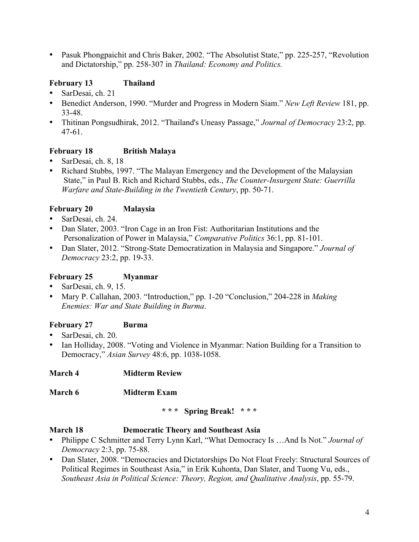• Pasuk Phongpaichit and Chris Baker, 2002. "The Absolutist State," pp. 225-257, "Revolution and Dictatorship," pp. 258-307 in *Thailand: Economy and Politics.* 

# **February 13 Thailand**

- SarDesai, ch. 21
- Benedict Anderson, 1990. "Murder and Progress in Modern Siam." *New Left Review* 181, pp. 33-48.
- Thitinan Pongsudhirak, 2012. "Thailand's Uneasy Passage," *Journal of Democracy* 23:2, pp. 47-61.

# **February 18 British Malaya**

- SarDesai, ch. 8, 18
- Richard Stubbs, 1997. "The Malayan Emergency and the Development of the Malaysian State," in Paul B. Rich and Richard Stubbs, eds., *The Counter-Insurgent State: Guerrilla Warfare and State-Building in the Twentieth Century*, pp. 50-71.

# **February 20 Malaysia**

- SarDesai, ch. 24.
- Dan Slater, 2003. "Iron Cage in an Iron Fist: Authoritarian Institutions and the Personalization of Power in Malaysia," *Comparative Politics* 36:1, pp. 81-101.
- Dan Slater, 2012. "Strong-State Democratization in Malaysia and Singapore." *Journal of Democracy* 23:2, pp. 19-33.

# **February 25 Myanmar**

- SarDesai, ch. 9, 15.
- Mary P. Callahan, 2003. "Introduction," pp. 1-20 "Conclusion," 204-228 in *Making Enemies: War and State Building in Burma*.

# **February 27 Burma**

- SarDesai, ch. 20.
- Ian Holliday, 2008. "Voting and Violence in Myanmar: Nation Building for a Transition to Democracy," *Asian Survey* 48:6, pp. 1038-1058.

# **March 4 Midterm Review**

# **March 6 Midterm Exam**

#### **\* \* \* Spring Break! \* \* \***

# **March 18 Democratic Theory and Southeast Asia**

- Philippe C Schmitter and Terry Lynn Karl, "What Democracy Is …And Is Not." *Journal of Democracy* 2:3, pp. 75-88.
- Dan Slater, 2008. "Democracies and Dictatorships Do Not Float Freely: Structural Sources of Political Regimes in Southeast Asia," in Erik Kuhonta, Dan Slater, and Tuong Vu, eds., *Southeast Asia in Political Science: Theory, Region, and Qualitative Analysis*, pp. 55-79.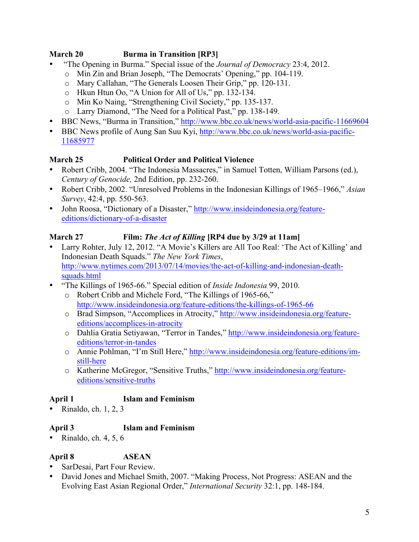# **March 20 Burma in Transition [RP3]**

- "The Opening in Burma." Special issue of the *Journal of Democracy* 23:4, 2012.
	- o Min Zin and Brian Joseph, "The Democrats' Opening," pp. 104-119.
	- o Mary Callahan, "The Generals Loosen Their Grip," pp. 120-131.
	- o Hkun Htun Oo, "A Union for All of Us," pp. 132-134.
	- o Min Ko Naing, "Strengthening Civil Society," pp. 135-137.
	- o Larry Diamond, "The Need for a Political Past," pp. 138-149.
- BBC News, "Burma in Transition," http://www.bbc.co.uk/news/world-asia-pacific-11669604
- BBC News profile of Aung San Suu Kyi, http://www.bbc.co.uk/news/world-asia-pacific-11685977

# **March 25 Political Order and Political Violence**

- Robert Cribb, 2004. "The Indonesia Massacres," in Samuel Totten, William Parsons (ed.), *Century of Genocide,* 2nd Edition, pp. 232-260.
- Robert Cribb, 2002. "Unresolved Problems in the Indonesian Killings of 1965–1966," *Asian Survey*, 42:4, pp. 550-563.
- John Roosa, "Dictionary of a Disaster," http://www.insideindonesia.org/featureeditions/dictionary-of-a-disaster

# **March 27 Film:** *The Act of Killing* **[RP4 due by 3/29 at 11am]**

- Larry Rohter, July 12, 2012. "A Movie's Killers are All Too Real: 'The Act of Killing' and Indonesian Death Squads." *The New York Times*, http://www.nytimes.com/2013/07/14/movies/the-act-of-killing-and-indonesian-deathsquads.html
- "The Killings of 1965-66." Special edition of *Inside Indonesia* 99, 2010.
	- o Robert Cribb and Michele Ford, "The Killings of 1965-66," http://www.insideindonesia.org/feature-editions/the-killings-of-1965-66
	- o Brad Simpson, "Accomplices in Atrocity," http://www.insideindonesia.org/featureeditions/accomplices-in-atrocity
	- o Dahlia Gratia Setiyawan, "Terror in Tandes," http://www.insideindonesia.org/featureeditions/terror-in-tandes
	- o Annie Pohlman, "I'm Still Here," http://www.insideindonesia.org/feature-editions/imstill-here
	- o Katherine McGregor, "Sensitive Truths," http://www.insideindonesia.org/featureeditions/sensitive-truths

# **April 1 Islam and Feminism**

• Rinaldo, ch.  $1, 2, 3$ 

# **April 3 Islam and Feminism**

• Rinaldo, ch.  $4, 5, 6$ 

# **April 8 ASEAN**

- SarDesai, Part Four Review.
- David Jones and Michael Smith, 2007. "Making Process, Not Progress: ASEAN and the Evolving East Asian Regional Order," *International Security* 32:1, pp. 148-184.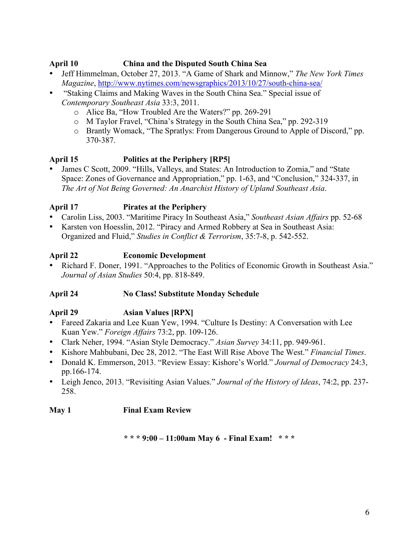### **April 10 China and the Disputed South China Sea**

- Jeff Himmelman, October 27, 2013. "A Game of Shark and Minnow," *The New York Times Magazine*, http://www.nytimes.com/newsgraphics/2013/10/27/south-china-sea/
- "Staking Claims and Making Waves in the South China Sea." Special issue of *Contemporary Southeast Asia* 33:3, 2011.
	- o Alice Ba, "How Troubled Are the Waters?" pp. 269-291
	- o M Taylor Fravel, "China's Strategy in the South China Sea," pp. 292-319
	- o Brantly Womack, "The Spratlys: From Dangerous Ground to Apple of Discord," pp. 370-387.

### **April 15 Politics at the Periphery [RP5]**

• James C Scott, 2009. "Hills, Valleys, and States: An Introduction to Zomia," and "State Space: Zones of Governance and Appropriation," pp. 1-63, and "Conclusion," 324-337, in *The Art of Not Being Governed: An Anarchist History of Upland Southeast Asia*.

# **April 17 Pirates at the Periphery**

- Carolin Liss, 2003. "Maritime Piracy In Southeast Asia," *Southeast Asian Affairs* pp. 52-68
- Karsten von Hoesslin, 2012. "Piracy and Armed Robbery at Sea in Southeast Asia: Organized and Fluid," *Studies in Conflict & Terrorism*, 35:7-8, p. 542-552.

### **April 22 Economic Development**

• Richard F. Doner, 1991. "Approaches to the Politics of Economic Growth in Southeast Asia." *Journal of Asian Studies* 50:4, pp. 818-849.

#### **April 24 No Class! Substitute Monday Schedule**

# **April 29 Asian Values [RPX]**

- Fareed Zakaria and Lee Kuan Yew, 1994. "Culture Is Destiny: A Conversation with Lee Kuan Yew." *Foreign Affairs* 73:2, pp. 109-126.
- Clark Neher, 1994. "Asian Style Democracy." *Asian Survey* 34:11, pp. 949-961.
- Kishore Mahbubani, Dec 28, 2012. "The East Will Rise Above The West." *Financial Times*.
- Donald K. Emmerson, 2013. "Review Essay: Kishore's World." *Journal of Democracy* 24:3, pp.166-174.
- Leigh Jenco, 2013. "Revisiting Asian Values." *Journal of the History of Ideas*, 74:2, pp. 237- 258.

#### **May 1 Final Exam Review**

**\* \* \* 9:00 – 11:00am May 6 - Final Exam! \* \* \***